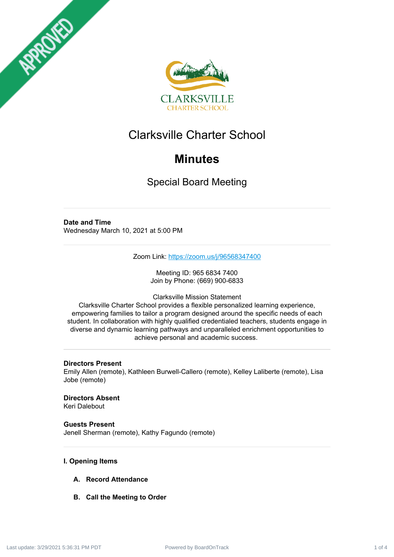



# Clarksville Charter School

# **Minutes**

Special Board Meeting

# **Date and Time**

Wednesday March 10, 2021 at 5:00 PM

Zoom Link: <https://zoom.us/j/96568347400>

Meeting ID: 965 6834 7400 Join by Phone: (669) 900-6833

Clarksville Mission Statement

Clarksville Charter School provides a flexible personalized learning experience, empowering families to tailor a program designed around the specific needs of each student. In collaboration with highly qualified credentialed teachers, students engage in diverse and dynamic learning pathways and unparalleled enrichment opportunities to achieve personal and academic success.

# **Directors Present**

Emily Allen (remote), Kathleen Burwell-Callero (remote), Kelley Laliberte (remote), Lisa Jobe (remote)

# **Directors Absent**

Keri Dalebout

# **Guests Present**

Jenell Sherman (remote), Kathy Fagundo (remote)

# **I. Opening Items**

- **A. Record Attendance**
- **B. Call the Meeting to Order**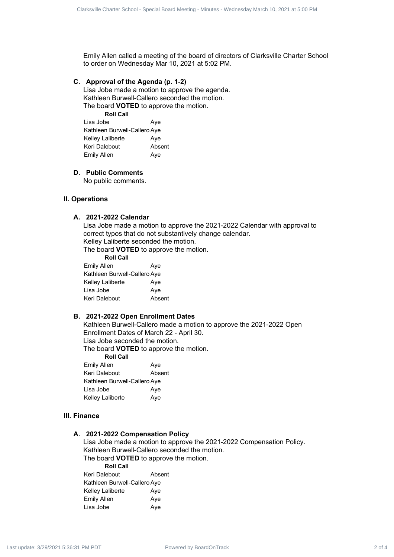Emily Allen called a meeting of the board of directors of Clarksville Charter School to order on Wednesday Mar 10, 2021 at 5:02 PM.

#### **C. Approval of the Agenda (p. 1-2)**

Lisa Jobe made a motion to approve the agenda. Kathleen Burwell-Callero seconded the motion. The board **VOTED** to approve the motion.

**Roll Call** Lisa Jobe **Aye** Kathleen Burwell-Callero Aye Kelley Laliberte **Aye** Keri Dalebout **Absent** Emily Allen Aye

#### **D. Public Comments**

No public comments.

# **II. Operations**

#### **A. 2021-2022 Calendar**

Lisa Jobe made a motion to approve the 2021-2022 Calendar with approval to correct typos that do not substantively change calendar. Kelley Laliberte seconded the motion. Contracts Charter School - Special Board Charter School - Special Board Meeting - Minutes - Wednesday March 10, 2021 at 5:00 PM Last update: Charter School - Special Board Meeting - Minutes - Wednesday March 10, 2021 at 5

The board **VOTED** to approve the motion.

| <b>Roll Call</b>             |        |
|------------------------------|--------|
| Emily Allen                  | Aye    |
| Kathleen Burwell-Callero Aye |        |
| Kelley Laliberte             | Aye    |
| Lisa Jobe                    | Aye    |
| Keri Dalebout                | Absent |
|                              |        |

## **B. 2021-2022 Open Enrollment Dates**

Kathleen Burwell-Callero made a motion to approve the 2021-2022 Open Enrollment Dates of March 22 - April 30. Lisa Jobe seconded the motion.

The board **VOTED** to approve the motion.

| <b>Roll Call</b>             |        |
|------------------------------|--------|
| <b>Emily Allen</b>           | Aye    |
| Keri Dalebout                | Absent |
| Kathleen Burwell-Callero Aye |        |
| Lisa Jobe                    | Ave    |
| Kelley Laliberte             | Aye    |

# **III. Finance**

#### **A. 2021-2022 Compensation Policy**

Lisa Jobe made a motion to approve the 2021-2022 Compensation Policy. Kathleen Burwell-Callero seconded the motion. The board **VOTED** to approve the motion.

**Roll Call**

| Keri Dalebout                | Absent |
|------------------------------|--------|
| Kathleen Burwell-Callero Aye |        |
| Kelley Laliberte             | Aye    |
| Emily Allen                  | Aye    |
| Lisa Jobe                    | Aye    |
|                              |        |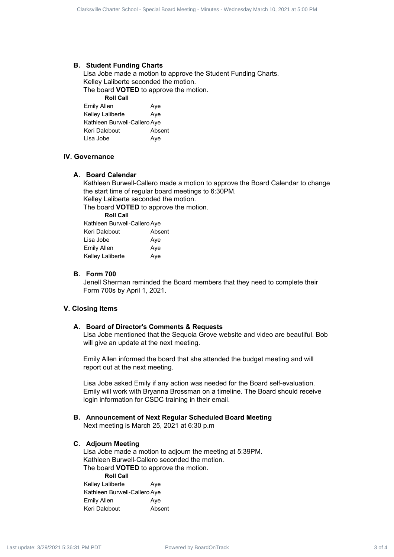#### **B. Student Funding Charts**

Lisa Jobe made a motion to approve the Student Funding Charts. Kelley Laliberte seconded the motion. The board **VOTED** to approve the motion. **Roll Call**

| Aye                          |
|------------------------------|
| Aye                          |
| Kathleen Burwell-Callero Aye |
| Absent                       |
| Aye                          |
|                              |

## **IV. Governance**

#### **A. Board Calendar**

Kathleen Burwell-Callero made a motion to approve the Board Calendar to change the start time of regular board meetings to 6:30PM. Kelley Laliberte seconded the motion.

The board **VOTED** to approve the motion.

**Roll Call**

| Kathleen Burwell-Callero Aye |        |
|------------------------------|--------|
| Keri Dalebout                | Absent |
| Lisa Jobe                    | Aye    |
| Emily Allen                  | Aye    |
| Kelley Laliberte             | Aye    |

# **B. Form 700**

Jenell Sherman reminded the Board members that they need to complete their Form 700s by April 1, 2021.

# **V. Closing Items**

#### **A. Board of Director's Comments & Requests**

Lisa Jobe mentioned that the Sequoia Grove website and video are beautiful. Bob will give an update at the next meeting.

Emily Allen informed the board that she attended the budget meeting and will report out at the next meeting.

Lisa Jobe asked Emily if any action was needed for the Board self-evaluation. Emily will work with Bryanna Brossman on a timeline. The Board should receive login information for CSDC training in their email. Clarksville Charter School - Special Board Charter School - Special Board Charter School - Special Board Charter School - Special Board Charter School - Special Board Charter School - Special Board Charter School - Specia

**B. Announcement of Next Regular Scheduled Board Meeting** Next meeting is March 25, 2021 at 6:30 p.m

#### **C. Adjourn Meeting**

Lisa Jobe made a motion to adjourn the meeting at 5:39PM. Kathleen Burwell-Callero seconded the motion. The board **VOTED** to approve the motion.

**Roll Call** Kelley Laliberte **Aye** Kathleen Burwell-Callero Aye Emily Allen Aye Keri Dalebout **Absent**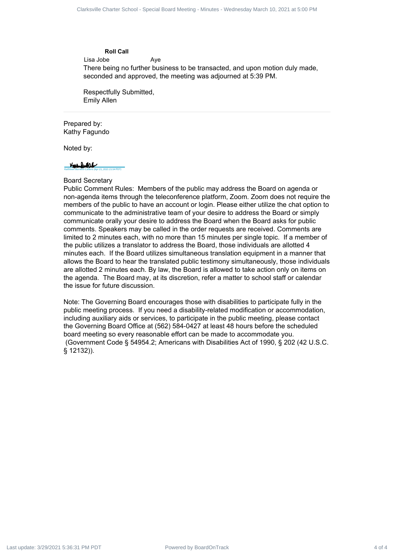#### **Roll Call**

Lisa Jobe **Aye** 

There being no further business to be transacted, and upon motion duly made, seconded and approved, the meeting was adjourned at 5:39 PM.

Respectfully Submitted, Emily Allen

#### Prepared by: Kathy Fagundo

Noted by:



# Board Secretary

Public Comment Rules: Members of the public may address the Board on agenda or non-agenda items through the teleconference platform, Zoom. Zoom does not require the members of the public to have an account or login. Please either utilize the chat option to communicate to the administrative team of your desire to address the Board or simply communicate orally your desire to address the Board when the Board asks for public comments. Speakers may be called in the order requests are received. Comments are limited to 2 minutes each, with no more than 15 minutes per single topic. If a member of the public utilizes a translator to address the Board, those individuals are allotted 4 minutes each. If the Board utilizes simultaneous translation equipment in a manner that allows the Board to hear the translated public testimony simultaneously, those individuals are allotted 2 minutes each. By law, the Board is allowed to take action only on items on the agenda. The Board may, at its discretion, refer a matter to school staff or calendar the issue for future discussion. Clarksville Charter School - Wednesday March 2 of 4 of 4 Clarksville Charter School - Special Board - Special Board - Special Board - Special Board - Special Board - Special Board - Special Board - Special Board - Special

Note: The Governing Board encourages those with disabilities to participate fully in the public meeting process. If you need a disability-related modification or accommodation, including auxiliary aids or services, to participate in the public meeting, please contact the Governing Board Office at (562) 584-0427 at least 48 hours before the scheduled board meeting so every reasonable effort can be made to accommodate you. (Government Code § 54954.2; Americans with Disabilities Act of 1990, § 202 (42 U.S.C. § 12132)).